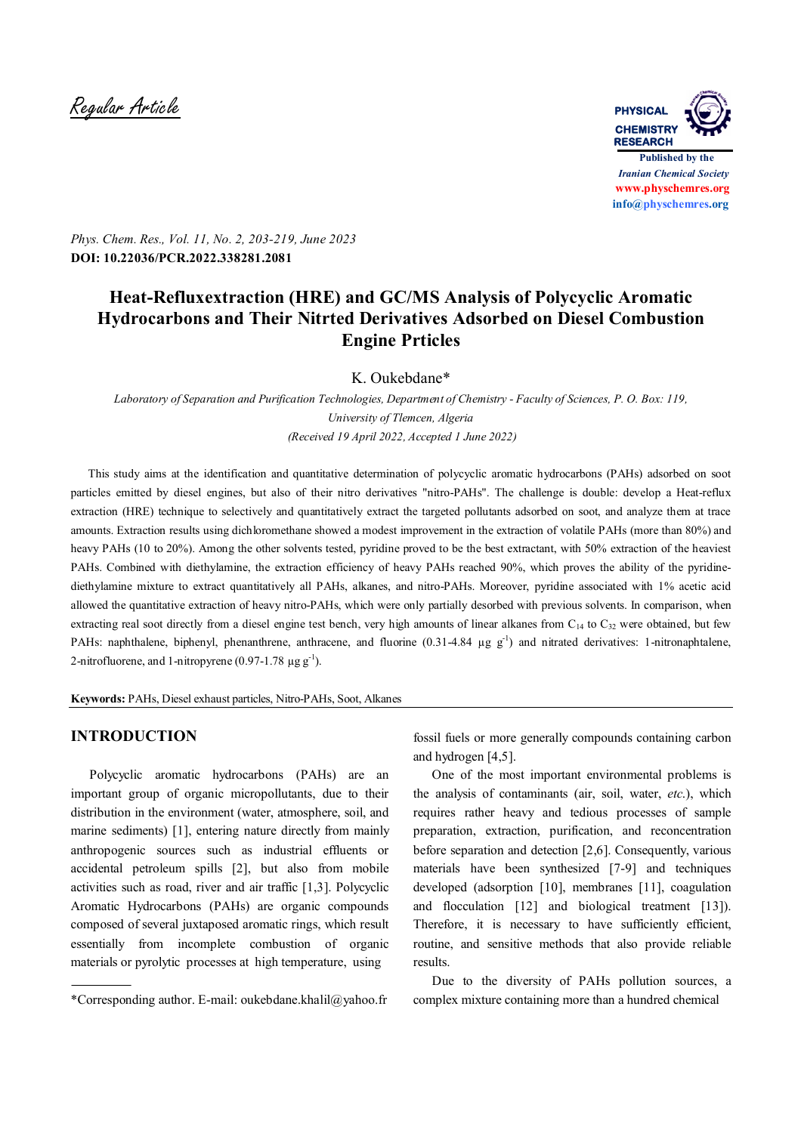Regular Article **PHYSICAL**



*Phys. Chem. Res., Vol. 11, No. 2, 203-219, June 2023* **DOI: 10.22036/PCR.2022.338281.2081**

# **Heat-Refluxextraction (HRE) and GC/MS Analysis of Polycyclic Aromatic Hydrocarbons and Their Nitrted Derivatives Adsorbed on Diesel Combustion Engine Prticles**

K. Oukebdane\*

*Laboratory of Separation and Purification Technologies, Department of Chemistry - Faculty of Sciences, P. O. Box: 119, University of Tlemcen, Algeria (Received 19 April 2022, Accepted 1 June 2022)*

 This study aims at the identification and quantitative determination of polycyclic aromatic hydrocarbons (PAHs) adsorbed on soot particles emitted by diesel engines, but also of their nitro derivatives "nitro-PAHs". The challenge is double: develop a Heat-reflux extraction (HRE) technique to selectively and quantitatively extract the targeted pollutants adsorbed on soot, and analyze them at trace amounts. Extraction results using dichloromethane showed a modest improvement in the extraction of volatile PAHs (more than 80%) and heavy PAHs (10 to 20%). Among the other solvents tested, pyridine proved to be the best extractant, with 50% extraction of the heaviest PAHs. Combined with diethylamine, the extraction efficiency of heavy PAHs reached 90%, which proves the ability of the pyridinediethylamine mixture to extract quantitatively all PAHs, alkanes, and nitro-PAHs. Moreover, pyridine associated with 1% acetic acid allowed the quantitative extraction of heavy nitro-PAHs, which were only partially desorbed with previous solvents. In comparison, when extracting real soot directly from a diesel engine test bench, very high amounts of linear alkanes from  $C_{14}$  to  $C_{32}$  were obtained, but few PAHs: naphthalene, biphenyl, phenanthrene, anthracene, and fluorine  $(0.31-4.84 \text{ µg g}^{-1})$  and nitrated derivatives: 1-nitronaphtalene, 2-nitrofluorene, and 1-nitropyrene (0.97-1.78  $\mu$ g g<sup>-1</sup>).

**Keywords:** PAHs, Diesel exhaust particles, Nitro-PAHs, Soot, Alkanes

# **INTRODUCTION**

 Polycyclic aromatic hydrocarbons (PAHs) are an important group of organic micropollutants, due to their distribution in the environment (water, atmosphere, soil, and marine sediments) [1], entering nature directly from mainly anthropogenic sources such as industrial effluents or accidental petroleum spills [2], but also from mobile activities such as road, river and air traffic [1,3]. Polycyclic Aromatic Hydrocarbons (PAHs) are organic compounds composed of several juxtaposed aromatic rings, which result essentially from incomplete combustion of organic materials or pyrolytic processes at high temperature, using

fossil fuels or more generally compounds containing carbon and hydrogen [4,5].

 One of the most important environmental problems is the analysis of contaminants (air, soil, water, *etc*.), which requires rather heavy and tedious processes of sample preparation, extraction, purification, and reconcentration before separation and detection [2,6]. Consequently, various materials have been synthesized [7-9] and techniques developed (adsorption [10], membranes [11], coagulation and flocculation [12] and biological treatment [13]). Therefore, it is necessary to have sufficiently efficient, routine, and sensitive methods that also provide reliable results.

 Due to the diversity of PAHs pollution sources, a complex mixture containing more than a hundred chemical

<sup>\*</sup>Corresponding author. E-mail: oukebdane.khalil@yahoo.fr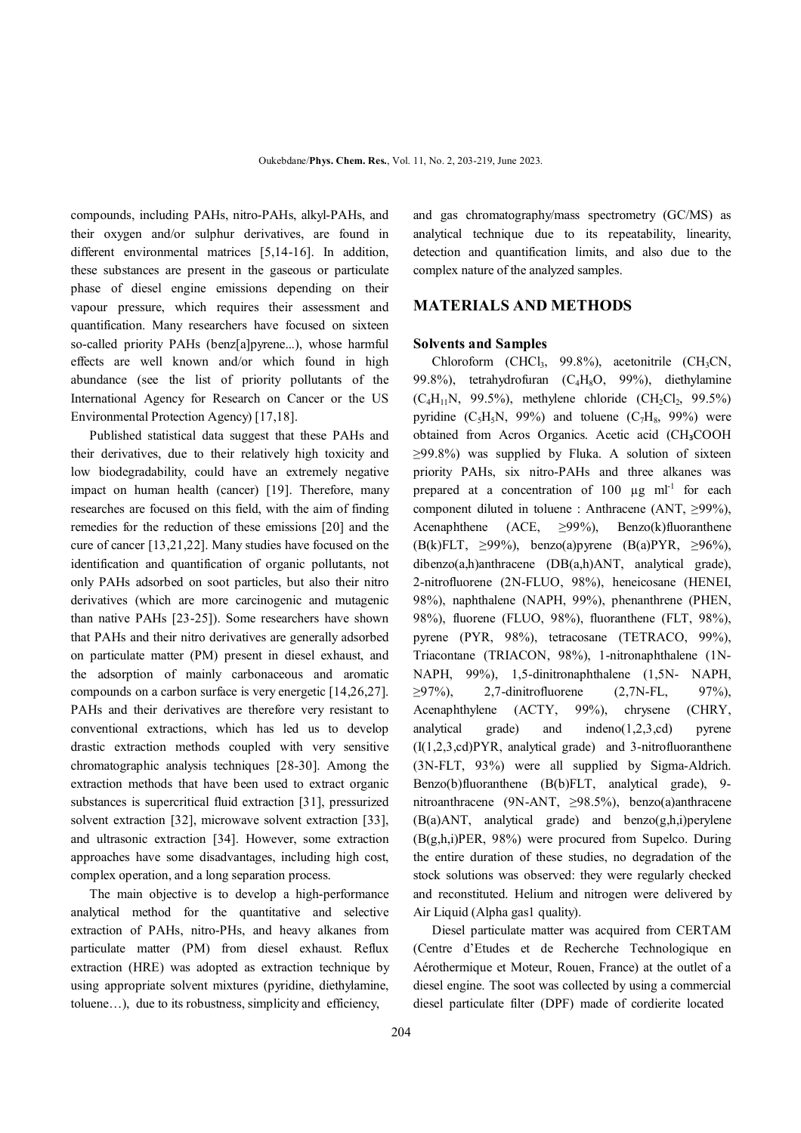compounds, including PAHs, nitro-PAHs, alkyl-PAHs, and their oxygen and/or sulphur derivatives, are found in different environmental matrices [5,14-16]. In addition, these substances are present in the gaseous or particulate phase of diesel engine emissions depending on their vapour pressure, which requires their assessment and quantification. Many researchers have focused on sixteen so-called priority PAHs (benz[a]pyrene...), whose harmful effects are well known and/or which found in high abundance (see the list of priority pollutants of the International Agency for Research on Cancer or the US Environmental Protection Agency) [17,18].

 Published statistical data suggest that these PAHs and their derivatives, due to their relatively high toxicity and low biodegradability, could have an extremely negative impact on human health (cancer) [19]. Therefore, many researches are focused on this field, with the aim of finding remedies for the reduction of these emissions [20] and the cure of cancer [13,21,22]. Many studies have focused on the identification and quantification of organic pollutants, not only PAHs adsorbed on soot particles, but also their nitro derivatives (which are more carcinogenic and mutagenic than native PAHs [23-25]). Some researchers have shown that PAHs and their nitro derivatives are generally adsorbed on particulate matter (PM) present in diesel exhaust, and the adsorption of mainly carbonaceous and aromatic compounds on a carbon surface is very energetic [14,26,27]. PAHs and their derivatives are therefore very resistant to conventional extractions, which has led us to develop drastic extraction methods coupled with very sensitive chromatographic analysis techniques [28-30]. Among the extraction methods that have been used to extract organic substances is supercritical fluid extraction [31], pressurized solvent extraction [32], microwave solvent extraction [33], and ultrasonic extraction [34]. However, some extraction approaches have some disadvantages, including high cost, complex operation, and a long separation process.

 The main objective is to develop a high-performance analytical method for the quantitative and selective extraction of PAHs, nitro-PHs, and heavy alkanes from particulate matter (PM) from diesel exhaust. Reflux extraction (HRE) was adopted as extraction technique by using appropriate solvent mixtures (pyridine, diethylamine, toluene…), due to its robustness, simplicity and efficiency,

and gas chromatography/mass spectrometry (GC/MS) as analytical technique due to its repeatability, linearity, detection and quantification limits, and also due to the complex nature of the analyzed samples.

## **MATERIALS AND METHODS**

#### **Solvents and Samples**

Chloroform (CHCl<sub>3</sub>, 99.8%), acetonitrile (CH<sub>3</sub>CN, 99.8%), tetrahydrofuran  $(C_4H_8O, 99\%)$ , diethylamine  $(C_4H_{11}N, 99.5\%)$ , methylene chloride  $(CH_2Cl_2, 99.5\%)$ pyridine  $(C_5H_5N, 99\%)$  and toluene  $(C_7H_8, 99\%)$  were obtained from Acros Organics. Acetic acid (CH₃COOH  $\geq$ 99.8%) was supplied by Fluka. A solution of sixteen priority PAHs, six nitro-PAHs and three alkanes was prepared at a concentration of 100  $\mu$ g ml<sup>-1</sup> for each component diluted in toluene : Anthracene (ANT, ≥99%), Acenaphthene (ACE,  $\geq$ 99%), Benzo(k)fluoranthene (B(k)FLT, ≥99%), benzo(a)pyrene (B(a)PYR, ≥96%), dibenzo(a,h)anthracene (DB(a,h)ANT, analytical grade), 2-nitrofluorene (2N-FLUO, 98%), heneicosane (HENEI, 98%), naphthalene (NAPH, 99%), phenanthrene (PHEN, 98%), fluorene (FLUO, 98%), fluoranthene (FLT, 98%), pyrene (PYR, 98%), tetracosane (TETRACO, 99%), Triacontane (TRIACON, 98%), 1-nitronaphthalene (1N-NAPH, 99%), 1,5-dinitronaphthalene (1,5N- NAPH,  $≥97\%$ ), 2,7-dinitrofluorene (2,7N-FL, 97%), Acenaphthylene (ACTY, 99%), chrysene (CHRY, analytical grade) and indeno(1,2,3,cd) pyrene (I(1,2,3,cd)PYR, analytical grade) and 3-nitrofluoranthene (3N-FLT, 93%) were all supplied by Sigma-Aldrich. Benzo(b)fluoranthene (B(b)FLT, analytical grade), 9 nitroanthracene (9N-ANT, ≥98.5%), benzo(a)anthracene  $(B(a)$ ANT, analytical grade) and benzo $(g,h,i)$  perylene (B(g,h,i)PER, 98%) were procured from Supelco. During the entire duration of these studies, no degradation of the stock solutions was observed: they were regularly checked and reconstituted. Helium and nitrogen were delivered by Air Liquid (Alpha gas1 quality).

 Diesel particulate matter was acquired from CERTAM (Centre d'Etudes et de Recherche Technologique en Aérothermique et Moteur, Rouen, France) at the outlet of a diesel engine. The soot was collected by using a commercial diesel particulate filter (DPF) made of cordierite located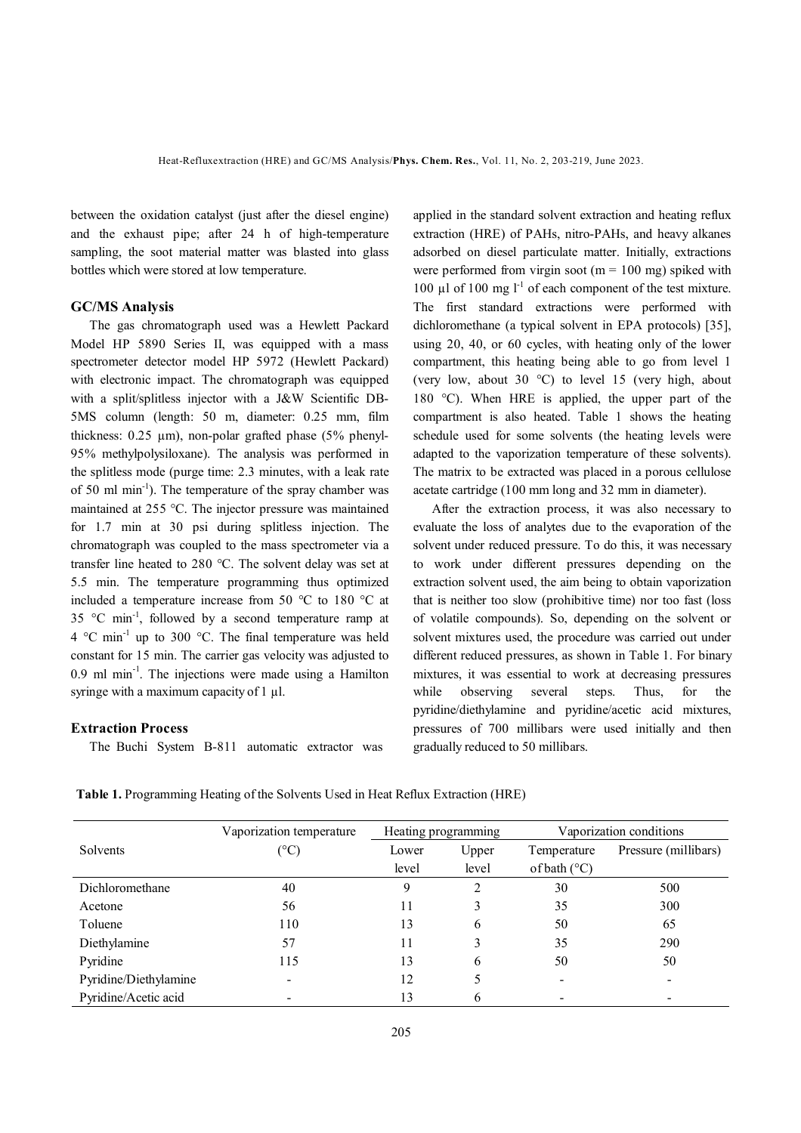between the oxidation catalyst (just after the diesel engine) and the exhaust pipe; after 24 h of high-temperature sampling, the soot material matter was blasted into glass bottles which were stored at low temperature.

#### **GC/MS Analysis**

 The gas chromatograph used was a Hewlett Packard Model HP 5890 Series II, was equipped with a mass spectrometer detector model HP 5972 (Hewlett Packard) with electronic impact. The chromatograph was equipped with a split/splitless injector with a J&W Scientific DB-5MS column (length: 50 m, diameter: 0.25 mm, film thickness: 0.25 µm), non-polar grafted phase (5% phenyl-95% methylpolysiloxane). The analysis was performed in the splitless mode (purge time: 2.3 minutes, with a leak rate of 50 ml min<sup>-1</sup>). The temperature of the spray chamber was maintained at 255 °C. The injector pressure was maintained for 1.7 min at 30 psi during splitless injection. The chromatograph was coupled to the mass spectrometer via a transfer line heated to 280 °C. The solvent delay was set at 5.5 min. The temperature programming thus optimized included a temperature increase from 50 °C to 180 °C at 35 °C min<sup>-1</sup>, followed by a second temperature ramp at  $4 \degree C \text{ min}^{-1}$  up to 300  $\degree C$ . The final temperature was held constant for 15 min. The carrier gas velocity was adjusted to 0.9 ml min<sup>-1</sup>. The injections were made using a Hamilton syringe with a maximum capacity of 1 µl.

## **Extraction Process**

The Buchi System B-811 automatic extractor was

applied in the standard solvent extraction and heating reflux extraction (HRE) of PAHs, nitro-PAHs, and heavy alkanes adsorbed on diesel particulate matter. Initially, extractions were performed from virgin soot ( $m = 100$  mg) spiked with 100  $\mu$ l of 100 mg l<sup>-1</sup> of each component of the test mixture. The first standard extractions were performed with dichloromethane (a typical solvent in EPA protocols) [35], using 20, 40, or 60 cycles, with heating only of the lower compartment, this heating being able to go from level 1 (very low, about 30 °C) to level 15 (very high, about 180 °C). When HRE is applied, the upper part of the compartment is also heated. Table 1 shows the heating schedule used for some solvents (the heating levels were adapted to the vaporization temperature of these solvents). The matrix to be extracted was placed in a porous cellulose acetate cartridge (100 mm long and 32 mm in diameter).

 After the extraction process, it was also necessary to evaluate the loss of analytes due to the evaporation of the solvent under reduced pressure. To do this, it was necessary to work under different pressures depending on the extraction solvent used, the aim being to obtain vaporization that is neither too slow (prohibitive time) nor too fast (loss of volatile compounds). So, depending on the solvent or solvent mixtures used, the procedure was carried out under different reduced pressures, as shown in Table 1. For binary mixtures, it was essential to work at decreasing pressures while observing several steps. Thus, for the pyridine/diethylamine and pyridine/acetic acid mixtures, pressures of 700 millibars were used initially and then gradually reduced to 50 millibars.

|                       | Vaporization temperature<br>Heating programming |       |       | Vaporization conditions |                      |
|-----------------------|-------------------------------------------------|-------|-------|-------------------------|----------------------|
| Solvents              | $\rm ^{\circ}C)$                                | Lower | Upper | Temperature             | Pressure (millibars) |
|                       |                                                 | level | level | of bath $(^{\circ}C)$   |                      |
| Dichloromethane       | 40                                              | 9     | 2     | 30                      | 500                  |
| Acetone               | 56                                              | 11    |       | 35                      | 300                  |
| Toluene               | 110                                             | 13    | 6     | 50                      | 65                   |
| Diethylamine          | 57                                              | 11    |       | 35                      | 290                  |
| Pyridine              | 115                                             | 13    | 6     | 50                      | 50                   |
| Pyridine/Diethylamine |                                                 | 12    |       |                         |                      |
| Pyridine/Acetic acid  |                                                 | 13    | 6     |                         |                      |

**Table 1.** Programming Heating of the Solvents Used in Heat Reflux Extraction (HRE)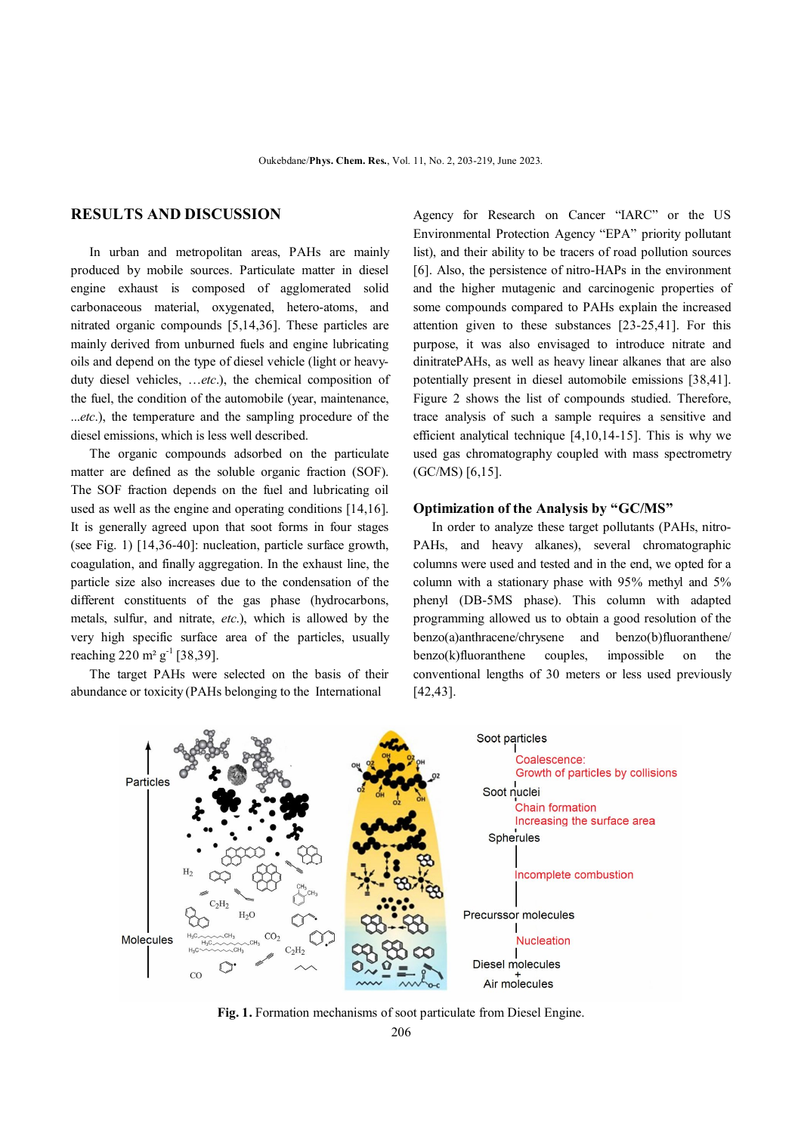# **RESULTS AND DISCUSSION**

 In urban and metropolitan areas, PAHs are mainly produced by mobile sources. Particulate matter in diesel engine exhaust is composed of agglomerated solid carbonaceous material, oxygenated, hetero-atoms, and nitrated organic compounds [5,14,36]. These particles are mainly derived from unburned fuels and engine lubricating oils and depend on the type of diesel vehicle (light or heavyduty diesel vehicles, …*etc*.), the chemical composition of the fuel, the condition of the automobile (year, maintenance, ...*etc*.), the temperature and the sampling procedure of the diesel emissions, which is less well described.

 The organic compounds adsorbed on the particulate matter are defined as the soluble organic fraction (SOF). The SOF fraction depends on the fuel and lubricating oil used as well as the engine and operating conditions [14,16]. It is generally agreed upon that soot forms in four stages (see Fig. 1) [14,36-40]: nucleation, particle surface growth, coagulation, and finally aggregation. In the exhaust line, the particle size also increases due to the condensation of the different constituents of the gas phase (hydrocarbons, metals, sulfur, and nitrate, *etc*.), which is allowed by the very high specific surface area of the particles, usually reaching 220 m<sup>2</sup> g<sup>-1</sup> [38,39].

 The target PAHs were selected on the basis of their abundance or toxicity (PAHs belonging to the International

Agency for Research on Cancer "IARC" or the US Environmental Protection Agency "EPA" priority pollutant list), and their ability to be tracers of road pollution sources [6]. Also, the persistence of nitro-HAPs in the environment and the higher mutagenic and carcinogenic properties of some compounds compared to PAHs explain the increased attention given to these substances [23-25,41]. For this purpose, it was also envisaged to introduce nitrate and dinitratePAHs, as well as heavy linear alkanes that are also potentially present in diesel automobile emissions [38,41]. Figure 2 shows the list of compounds studied. Therefore, trace analysis of such a sample requires a sensitive and efficient analytical technique [4,10,14-15]. This is why we used gas chromatography coupled with mass spectrometry (GC/MS) [6,15].

#### **Optimization of the Analysis by "GC/MS"**

 In order to analyze these target pollutants (PAHs, nitro-PAHs, and heavy alkanes), several chromatographic columns were used and tested and in the end, we opted for a column with a stationary phase with 95% methyl and 5% phenyl (DB-5MS phase). This column with adapted programming allowed us to obtain a good resolution of the benzo(a)anthracene/chrysene and benzo(b)fluoranthene/ benzo(k)fluoranthene couples, impossible on the conventional lengths of 30 meters or less used previously [42,43].



**Fig. 1.** Formation mechanisms of soot particulate from Diesel Engine.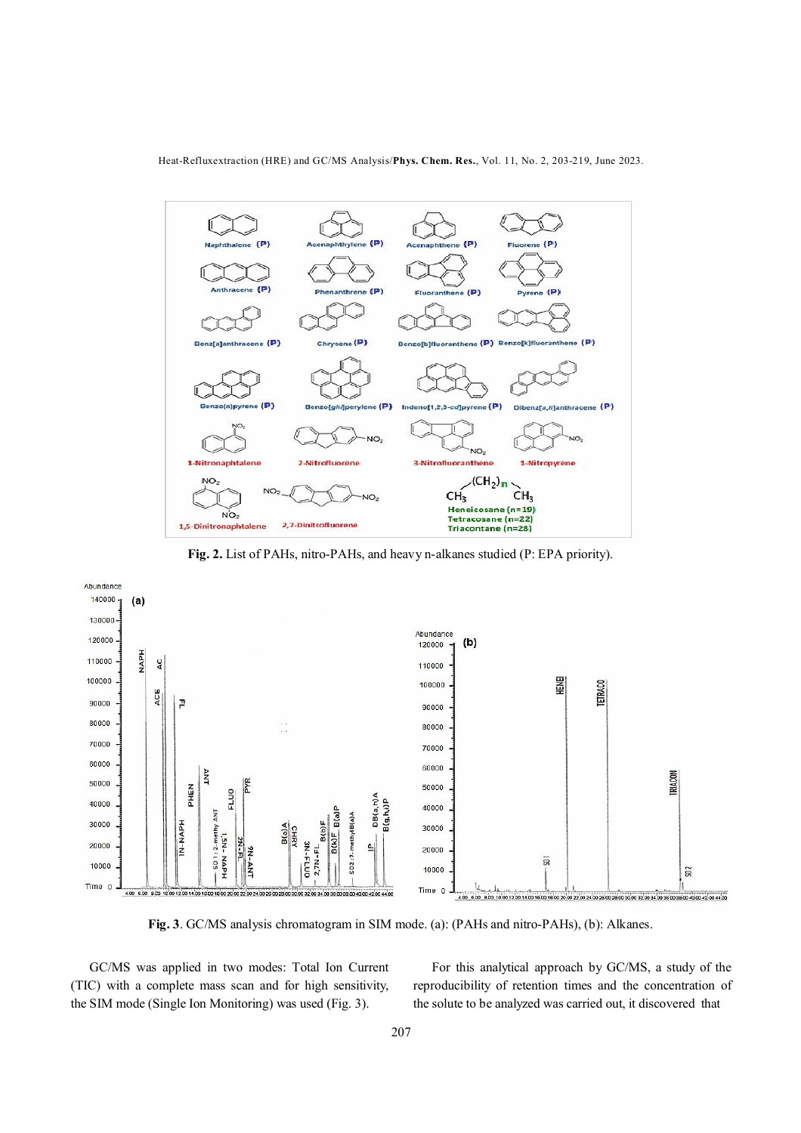Heat-Refluxextraction (HRE) and GC/MS Analysis/**Phys. Chem. Res.**, Vol. 11, No. 2, 203-219, June 2023.



**Fig. 2.** List of PAHs, nitro-PAHs, and heavy n-alkanes studied (P: EPA priority).



**Fig. 3**. GC/MS analysis chromatogram in SIM mode. (a): (PAHs and nitro-PAHs), (b): Alkanes.

 GC/MS was applied in two modes: Total Ion Current (TIC) with a complete mass scan and for high sensitivity, the SIM mode (Single Ion Monitoring) was used (Fig. 3).

 For this analytical approach by GC/MS, a study of the reproducibility of retention times and the concentration of the solute to be analyzed was carried out, it discovered that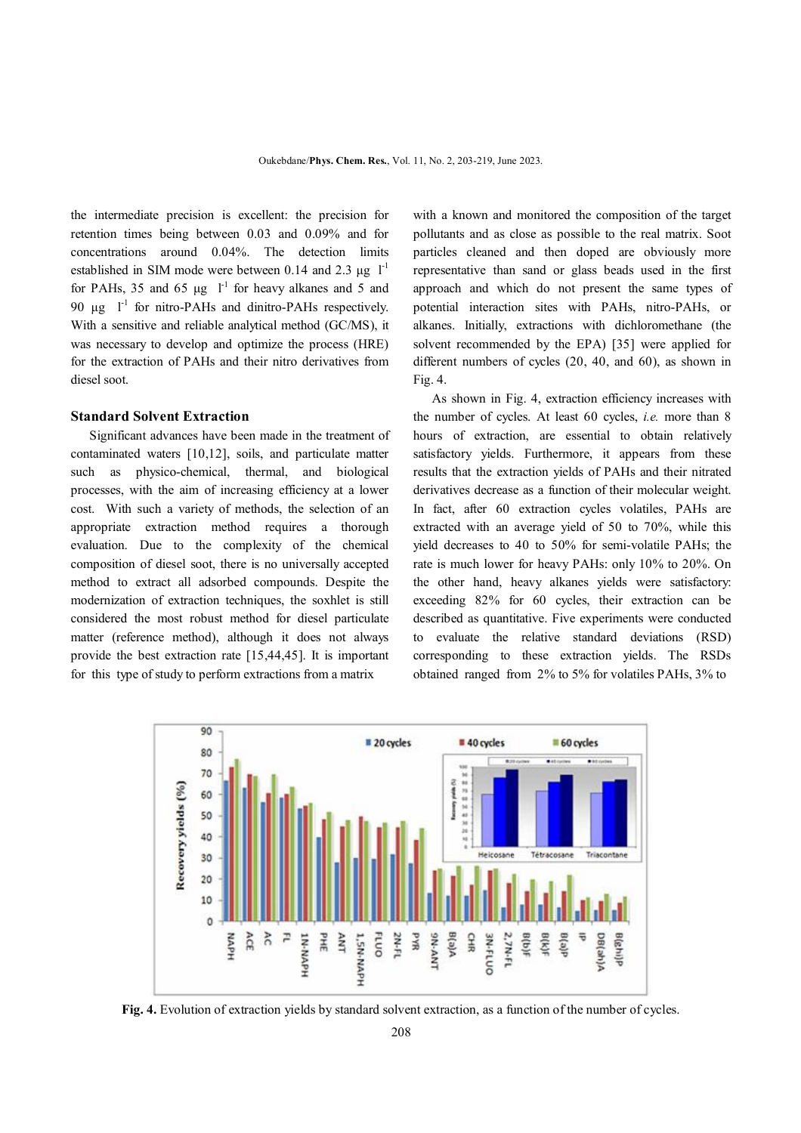the intermediate precision is excellent: the precision for retention times being between 0.03 and 0.09% and for concentrations around 0.04%. The detection limits established in SIM mode were between 0.14 and 2.3  $\mu$ g l<sup>-1</sup> for PAHs, 35 and 65  $\mu$ g  $I^1$  for heavy alkanes and 5 and 90 μg  $l<sup>-1</sup>$  for nitro-PAHs and dinitro-PAHs respectively. With a sensitive and reliable analytical method (GC/MS), it was necessary to develop and optimize the process (HRE) for the extraction of PAHs and their nitro derivatives from diesel soot.

#### **Standard Solvent Extraction**

 Significant advances have been made in the treatment of contaminated waters [10,12], soils, and particulate matter such as physico-chemical, thermal, and biological processes, with the aim of increasing efficiency at a lower cost. With such a variety of methods, the selection of an appropriate extraction method requires a thorough evaluation. Due to the complexity of the chemical composition of diesel soot, there is no universally accepted method to extract all adsorbed compounds. Despite the modernization of extraction techniques, the soxhlet is still considered the most robust method for diesel particulate matter (reference method), although it does not always provide the best extraction rate [15,44,45]. It is important for this type of study to perform extractions from a matrix

with a known and monitored the composition of the target pollutants and as close as possible to the real matrix. Soot particles cleaned and then doped are obviously more representative than sand or glass beads used in the first approach and which do not present the same types of potential interaction sites with PAHs, nitro-PAHs, or alkanes. Initially, extractions with dichloromethane (the solvent recommended by the EPA) [35] were applied for different numbers of cycles (20, 40, and 60), as shown in Fig. 4.

 As shown in Fig. 4, extraction efficiency increases with the number of cycles. At least 60 cycles, *i.e.* more than 8 hours of extraction, are essential to obtain relatively satisfactory yields. Furthermore, it appears from these results that the extraction yields of PAHs and their nitrated derivatives decrease as a function of their molecular weight. In fact, after 60 extraction cycles volatiles, PAHs are extracted with an average yield of 50 to 70%, while this yield decreases to 40 to 50% for semi-volatile PAHs; the rate is much lower for heavy PAHs: only 10% to 20%. On the other hand, heavy alkanes yields were satisfactory: exceeding 82% for 60 cycles, their extraction can be described as quantitative. Five experiments were conducted to evaluate the relative standard deviations (RSD) corresponding to these extraction yields. The RSDs obtained ranged from 2% to 5% for volatiles PAHs, 3% to



**Fig. 4.** Evolution of extraction yields by standard solvent extraction, as a function of the number of cycles.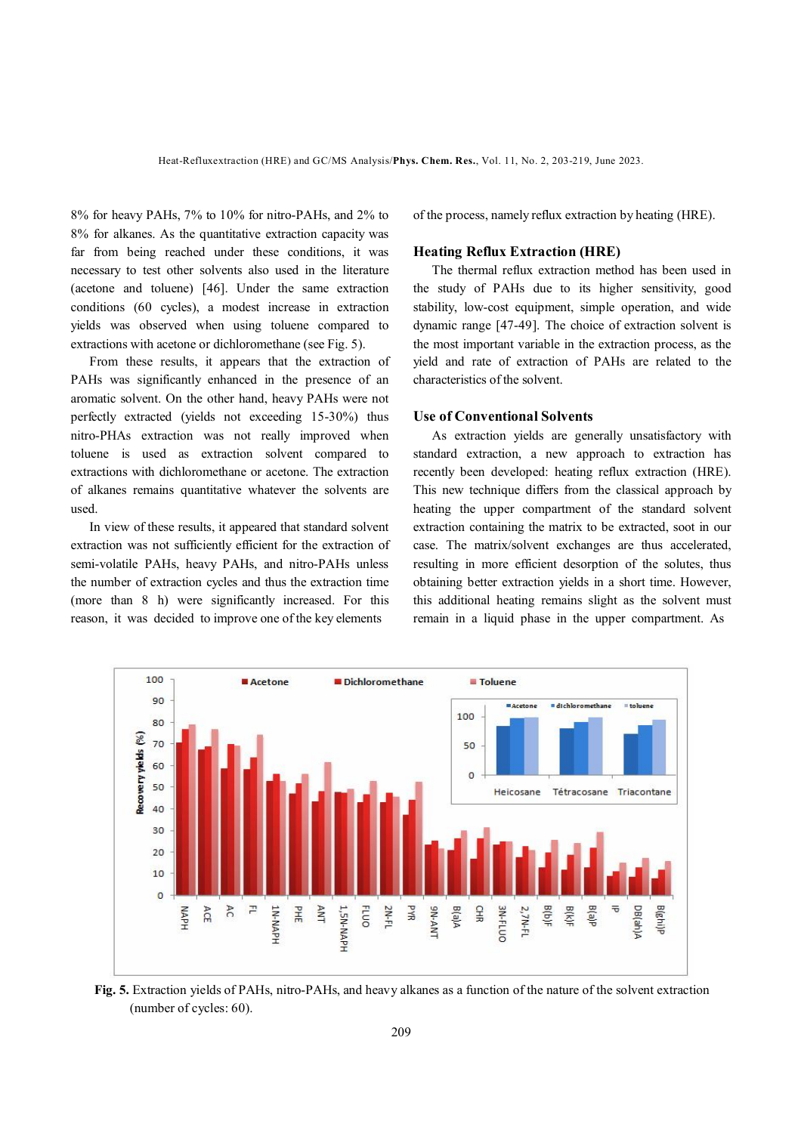8% for heavy PAHs, 7% to 10% for nitro-PAHs, and 2% to 8% for alkanes. As the quantitative extraction capacity was far from being reached under these conditions, it was necessary to test other solvents also used in the literature (acetone and toluene) [46]. Under the same extraction conditions (60 cycles), a modest increase in extraction yields was observed when using toluene compared to extractions with acetone or dichloromethane (see Fig. 5).

 From these results, it appears that the extraction of PAHs was significantly enhanced in the presence of an aromatic solvent. On the other hand, heavy PAHs were not perfectly extracted (yields not exceeding 15-30%) thus nitro-PHAs extraction was not really improved when toluene is used as extraction solvent compared to extractions with dichloromethane or acetone. The extraction of alkanes remains quantitative whatever the solvents are used.

 In view of these results, it appeared that standard solvent extraction was not sufficiently efficient for the extraction of semi-volatile PAHs, heavy PAHs, and nitro-PAHs unless the number of extraction cycles and thus the extraction time (more than 8 h) were significantly increased. For this reason, it was decided to improve one of the key elements

of the process, namely reflux extraction by heating (HRE).

#### **Heating Reflux Extraction (HRE)**

 The thermal reflux extraction method has been used in the study of PAHs due to its higher sensitivity, good stability, low-cost equipment, simple operation, and wide dynamic range [47-49]. The choice of extraction solvent is the most important variable in the extraction process, as the yield and rate of extraction of PAHs are related to the characteristics of the solvent.

#### **Use of Conventional Solvents**

 As extraction yields are generally unsatisfactory with standard extraction, a new approach to extraction has recently been developed: heating reflux extraction (HRE). This new technique differs from the classical approach by heating the upper compartment of the standard solvent extraction containing the matrix to be extracted, soot in our case. The matrix/solvent exchanges are thus accelerated, resulting in more efficient desorption of the solutes, thus obtaining better extraction yields in a short time. However, this additional heating remains slight as the solvent must remain in a liquid phase in the upper compartment. As



**Fig. 5.** Extraction yields of PAHs, nitro-PAHs, and heavy alkanes as a function of the nature of the solvent extraction (number of cycles: 60).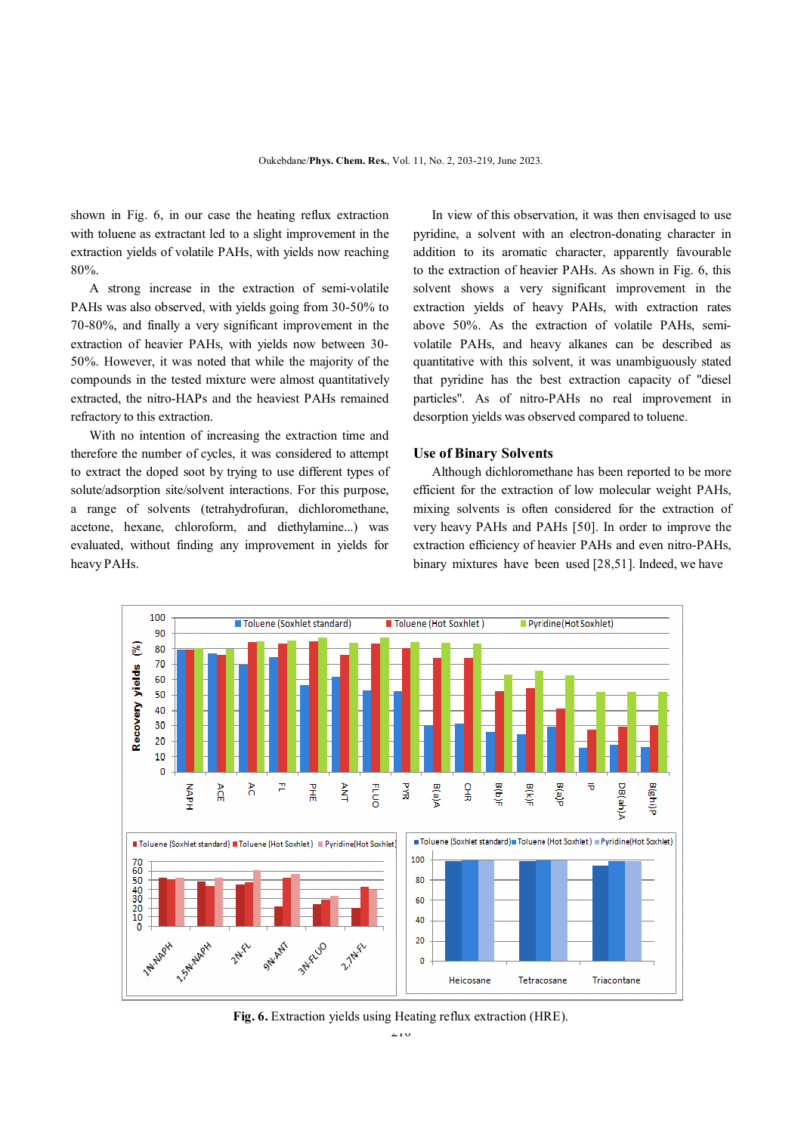shown in Fig. 6, in our case the heating reflux extraction with toluene as extractant led to a slight improvement in the extraction yields of volatile PAHs, with yields now reaching 80%.

 A strong increase in the extraction of semi-volatile PAHs was also observed, with yields going from 30-50% to 70-80%, and finally a very significant improvement in the extraction of heavier PAHs, with yields now between 30- 50%. However, it was noted that while the majority of the compounds in the tested mixture were almost quantitatively extracted, the nitro-HAPs and the heaviest PAHs remained refractory to this extraction.

 With no intention of increasing the extraction time and therefore the number of cycles, it was considered to attempt to extract the doped soot by trying to use different types of solute/adsorption site/solvent interactions. For this purpose, a range of solvents (tetrahydrofuran, dichloromethane, acetone, hexane, chloroform, and diethylamine...) was evaluated, without finding any improvement in yields for heavy PAHs.

 In view of this observation, it was then envisaged to use pyridine, a solvent with an electron-donating character in addition to its aromatic character, apparently favourable to the extraction of heavier PAHs. As shown in Fig. 6, this solvent shows a very significant improvement in the extraction yields of heavy PAHs, with extraction rates above 50%. As the extraction of volatile PAHs, semivolatile PAHs, and heavy alkanes can be described as quantitative with this solvent, it was unambiguously stated that pyridine has the best extraction capacity of "diesel particles". As of nitro-PAHs no real improvement in desorption yields was observed compared to toluene.

#### **Use of Binary Solvents**

 Although dichloromethane has been reported to be more efficient for the extraction of low molecular weight PAHs, mixing solvents is often considered for the extraction of very heavy PAHs and PAHs [50]. In order to improve the extraction efficiency of heavier PAHs and even nitro-PAHs, binary mixtures have been used [28,51]. Indeed, we have



**Fig. 6.** Extraction yields using Heating reflux extraction (HRE).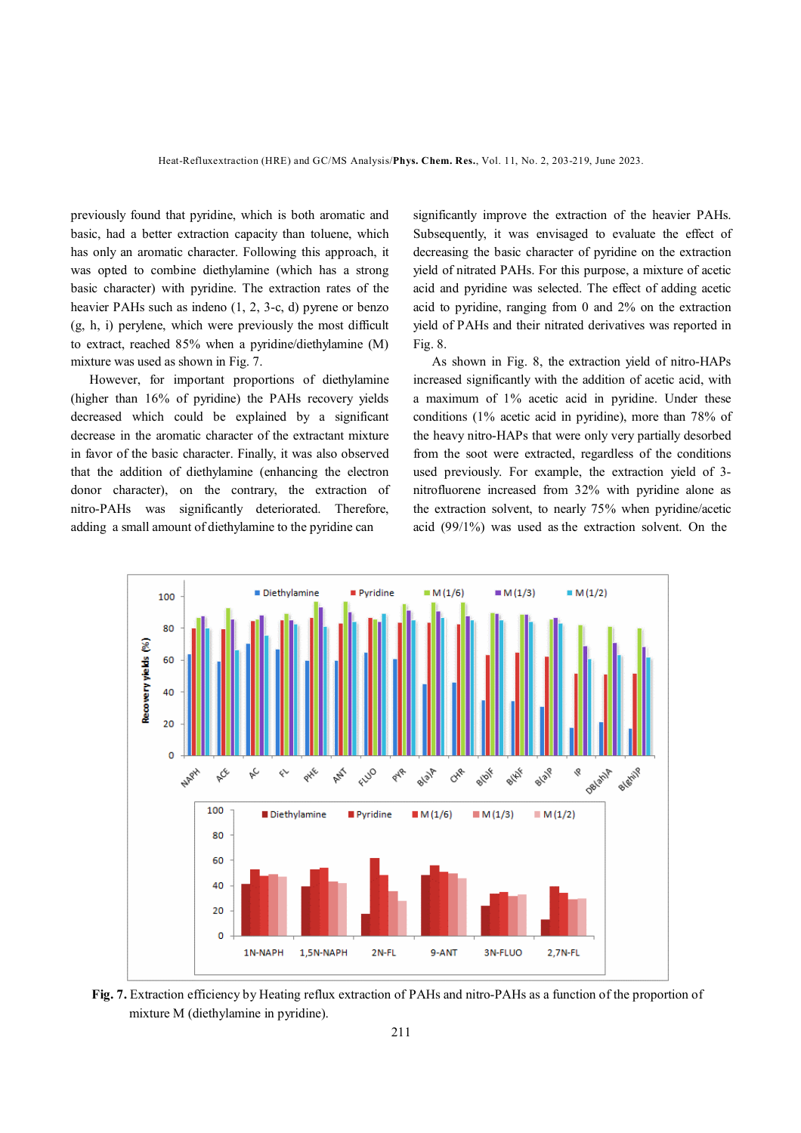previously found that pyridine, which is both aromatic and basic, had a better extraction capacity than toluene, which has only an aromatic character. Following this approach, it was opted to combine diethylamine (which has a strong basic character) with pyridine. The extraction rates of the heavier PAHs such as indeno (1, 2, 3-c, d) pyrene or benzo (g, h, i) perylene, which were previously the most difficult to extract, reached 85% when a pyridine/diethylamine (M) mixture was used as shown in Fig. 7.

 However, for important proportions of diethylamine (higher than 16% of pyridine) the PAHs recovery yields decreased which could be explained by a significant decrease in the aromatic character of the extractant mixture in favor of the basic character. Finally, it was also observed that the addition of diethylamine (enhancing the electron donor character), on the contrary, the extraction of nitro-PAHs was significantly deteriorated. Therefore, adding a small amount of diethylamine to the pyridine can

significantly improve the extraction of the heavier PAHs. Subsequently, it was envisaged to evaluate the effect of decreasing the basic character of pyridine on the extraction yield of nitrated PAHs. For this purpose, a mixture of acetic acid and pyridine was selected. The effect of adding acetic acid to pyridine, ranging from 0 and 2% on the extraction yield of PAHs and their nitrated derivatives was reported in Fig. 8.

 As shown in Fig. 8, the extraction yield of nitro-HAPs increased significantly with the addition of acetic acid, with a maximum of 1% acetic acid in pyridine. Under these conditions (1% acetic acid in pyridine), more than 78% of the heavy nitro-HAPs that were only very partially desorbed from the soot were extracted, regardless of the conditions used previously. For example, the extraction yield of 3 nitrofluorene increased from 32% with pyridine alone as the extraction solvent, to nearly 75% when pyridine/acetic acid (99/1%) was used as the extraction solvent. On the



**Fig. 7.** Extraction efficiency by Heating reflux extraction of PAHs and nitro-PAHs as a function of the proportion of mixture M (diethylamine in pyridine).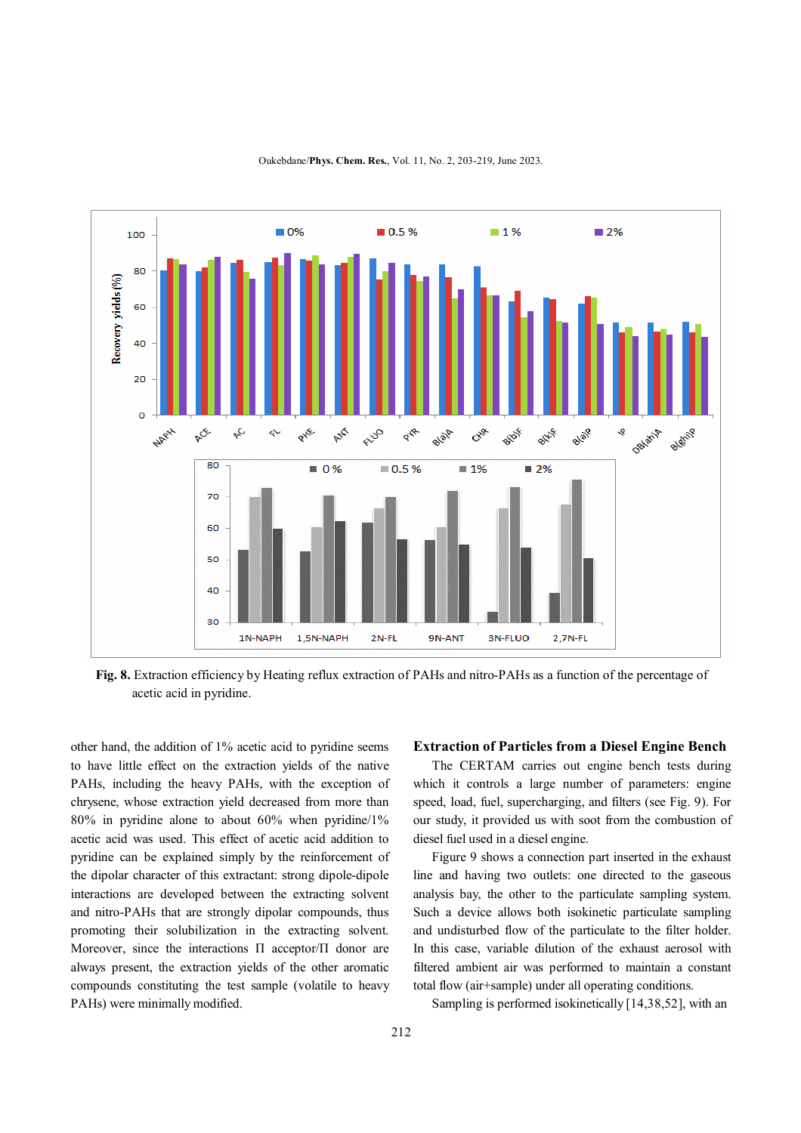

Oukebdane/**Phys. Chem. Res.**, Vol. 11, No. 2, 203-219, June 2023.

**Fig. 8.** Extraction efficiency by Heating reflux extraction of PAHs and nitro-PAHs as a function of the percentage of acetic acid in pyridine.

other hand, the addition of 1% acetic acid to pyridine seems to have little effect on the extraction yields of the native PAHs, including the heavy PAHs, with the exception of chrysene, whose extraction yield decreased from more than 80% in pyridine alone to about 60% when pyridine/1% acetic acid was used. This effect of acetic acid addition to pyridine can be explained simply by the reinforcement of the dipolar character of this extractant: strong dipole-dipole interactions are developed between the extracting solvent and nitro-PAHs that are strongly dipolar compounds, thus promoting their solubilization in the extracting solvent. Moreover, since the interactions П acceptor/П donor are always present, the extraction yields of the other aromatic compounds constituting the test sample (volatile to heavy PAHs) were minimally modified.

#### **Extraction of Particles from a Diesel Engine Bench**

 The CERTAM carries out engine bench tests during which it controls a large number of parameters: engine speed, load, fuel, supercharging, and filters (see Fig. 9). For our study, it provided us with soot from the combustion of diesel fuel used in a diesel engine.

 Figure 9 shows a connection part inserted in the exhaust line and having two outlets: one directed to the gaseous analysis bay, the other to the particulate sampling system. Such a device allows both isokinetic particulate sampling and undisturbed flow of the particulate to the filter holder. In this case, variable dilution of the exhaust aerosol with filtered ambient air was performed to maintain a constant total flow (air+sample) under all operating conditions.

Sampling is performed isokinetically [14,38,52], with an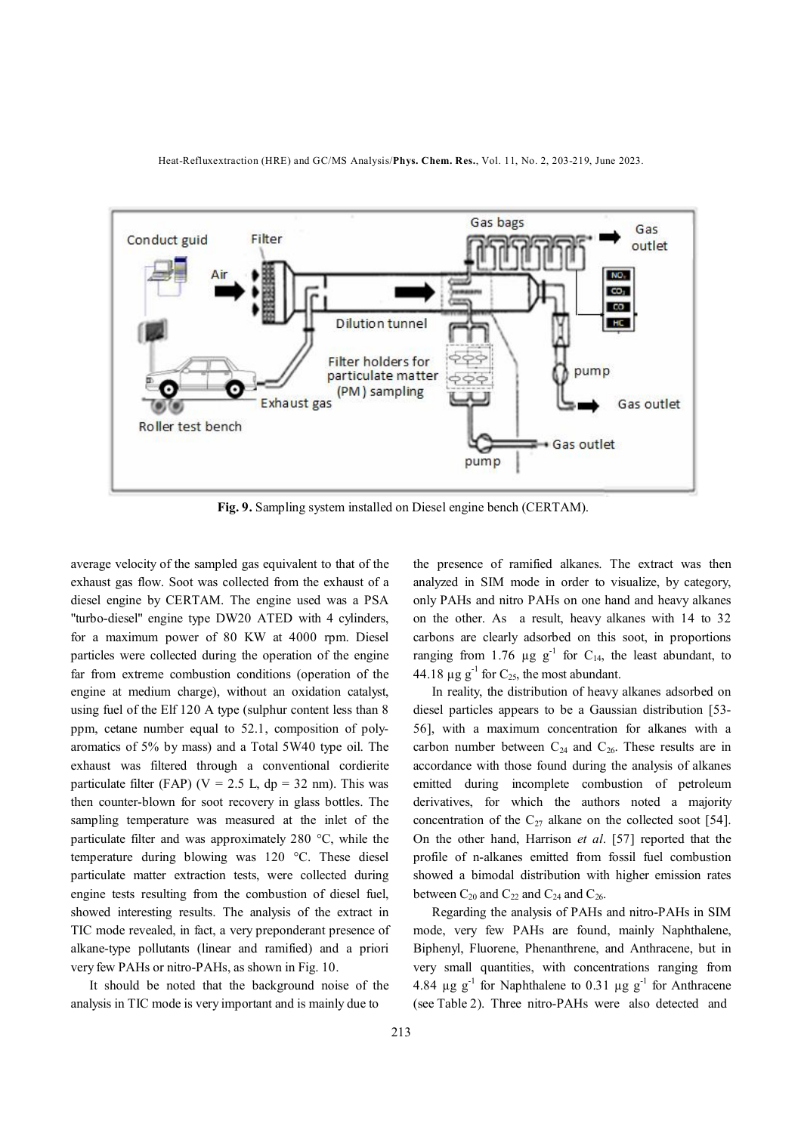



**Fig. 9.** Sampling system installed on Diesel engine bench (CERTAM).

average velocity of the sampled gas equivalent to that of the exhaust gas flow. Soot was collected from the exhaust of a diesel engine by CERTAM. The engine used was a PSA "turbo-diesel" engine type DW20 ATED with 4 cylinders, for a maximum power of 80 KW at 4000 rpm. Diesel particles were collected during the operation of the engine far from extreme combustion conditions (operation of the engine at medium charge), without an oxidation catalyst, using fuel of the Elf 120 A type (sulphur content less than 8 ppm, cetane number equal to 52.1, composition of polyaromatics of 5% by mass) and a Total 5W40 type oil. The exhaust was filtered through a conventional cordierite particulate filter (FAP) ( $V = 2.5$  L, dp = 32 nm). This was then counter-blown for soot recovery in glass bottles. The sampling temperature was measured at the inlet of the particulate filter and was approximately 280 °C, while the temperature during blowing was 120 °C. These diesel particulate matter extraction tests, were collected during engine tests resulting from the combustion of diesel fuel, showed interesting results. The analysis of the extract in TIC mode revealed, in fact, a very preponderant presence of alkane-type pollutants (linear and ramified) and a priori very few PAHs or nitro-PAHs, as shown in Fig. 10.

 It should be noted that the background noise of the analysis in TIC mode is very important and is mainly due to

the presence of ramified alkanes. The extract was then analyzed in SIM mode in order to visualize, by category, only PAHs and nitro PAHs on one hand and heavy alkanes on the other. As a result, heavy alkanes with 14 to 32 carbons are clearly adsorbed on this soot, in proportions ranging from 1.76  $\mu$ g g<sup>-1</sup> for C<sub>14</sub>, the least abundant, to 44.18  $\mu$ g g<sup>-1</sup> for C<sub>25</sub>, the most abundant.

 In reality, the distribution of heavy alkanes adsorbed on diesel particles appears to be a Gaussian distribution [53- 56], with a maximum concentration for alkanes with a carbon number between  $C_{24}$  and  $C_{26}$ . These results are in accordance with those found during the analysis of alkanes emitted during incomplete combustion of petroleum derivatives, for which the authors noted a majority concentration of the  $C_{27}$  alkane on the collected soot [54]. On the other hand, Harrison *et al*. [57] reported that the profile of n-alkanes emitted from fossil fuel combustion showed a bimodal distribution with higher emission rates between  $C_{20}$  and  $C_{22}$  and  $C_{24}$  and  $C_{26}$ .

 Regarding the analysis of PAHs and nitro-PAHs in SIM mode, very few PAHs are found, mainly Naphthalene, Biphenyl, Fluorene, Phenanthrene, and Anthracene, but in very small quantities, with concentrations ranging from 4.84  $\mu$ g g<sup>-1</sup> for Naphthalene to 0.31  $\mu$ g g<sup>-1</sup> for Anthracene (see Table 2). Three nitro-PAHs were also detected and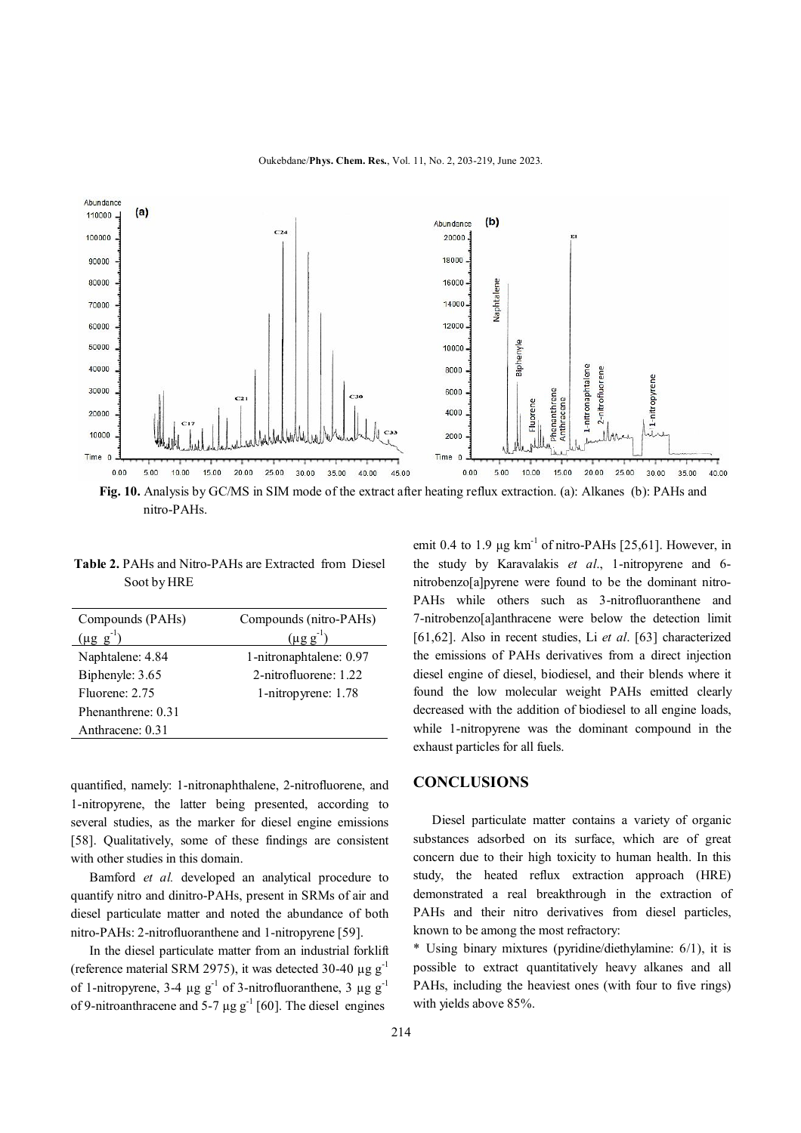

nitro-PAHs.

 **Table 2.** PAHs and Nitro-PAHs are Extracted from Diesel Soot by HRE

| Compounds (PAHs)   | Compounds (nitro-PAHs)  |  |  |  |
|--------------------|-------------------------|--|--|--|
| $(\mu g g^{-1})$   | $(\mu$ g g              |  |  |  |
| Naphtalene: 4.84   | 1-nitronaphtalene: 0.97 |  |  |  |
| Biphenyle: 3.65    | 2-nitrofluorene: 1.22   |  |  |  |
| Fluorene: 2.75     | 1-nitropyrene: 1.78     |  |  |  |
| Phenanthrene: 0.31 |                         |  |  |  |
| Anthracene: 0.31   |                         |  |  |  |

quantified, namely: 1-nitronaphthalene, 2-nitrofluorene, and 1-nitropyrene, the latter being presented, according to several studies, as the marker for diesel engine emissions [58]. Qualitatively, some of these findings are consistent with other studies in this domain.

 Bamford *et al.* developed an analytical procedure to quantify nitro and dinitro-PAHs, present in SRMs of air and diesel particulate matter and noted the abundance of both nitro-PAHs: 2-nitrofluoranthene and 1-nitropyrene [59].

 In the diesel particulate matter from an industrial forklift (reference material SRM 2975), it was detected 30-40  $\mu$ g g<sup>-1</sup> of 1-nitropyrene, 3-4  $\mu$ g g<sup>-1</sup> of 3-nitrofluoranthene, 3  $\mu$ g g<sup>-1</sup> of 9-nitroanthracene and 5-7  $\mu$ g g<sup>-1</sup> [60]. The diesel engines

emit 0.4 to 1.9  $\mu$ g km<sup>-1</sup> of nitro-PAHs [25,61]. However, in the study by Karavalakis *et al*., 1-nitropyrene and 6 nitrobenzo[a]pyrene were found to be the dominant nitro-PAHs while others such as 3-nitrofluoranthene and 7-nitrobenzo[a]anthracene were below the detection limit [61,62]. Also in recent studies, Li *et al*. [63] characterized the emissions of PAHs derivatives from a direct injection diesel engine of diesel, biodiesel, and their blends where it found the low molecular weight PAHs emitted clearly decreased with the addition of biodiesel to all engine loads, while 1-nitropyrene was the dominant compound in the exhaust particles for all fuels.

# **CONCLUSIONS**

 Diesel particulate matter contains a variety of organic substances adsorbed on its surface, which are of great concern due to their high toxicity to human health. In this study, the heated reflux extraction approach (HRE) demonstrated a real breakthrough in the extraction of PAHs and their nitro derivatives from diesel particles, known to be among the most refractory:

\* Using binary mixtures (pyridine/diethylamine: 6/1), it is possible to extract quantitatively heavy alkanes and all PAHs, including the heaviest ones (with four to five rings) with yields above 85%.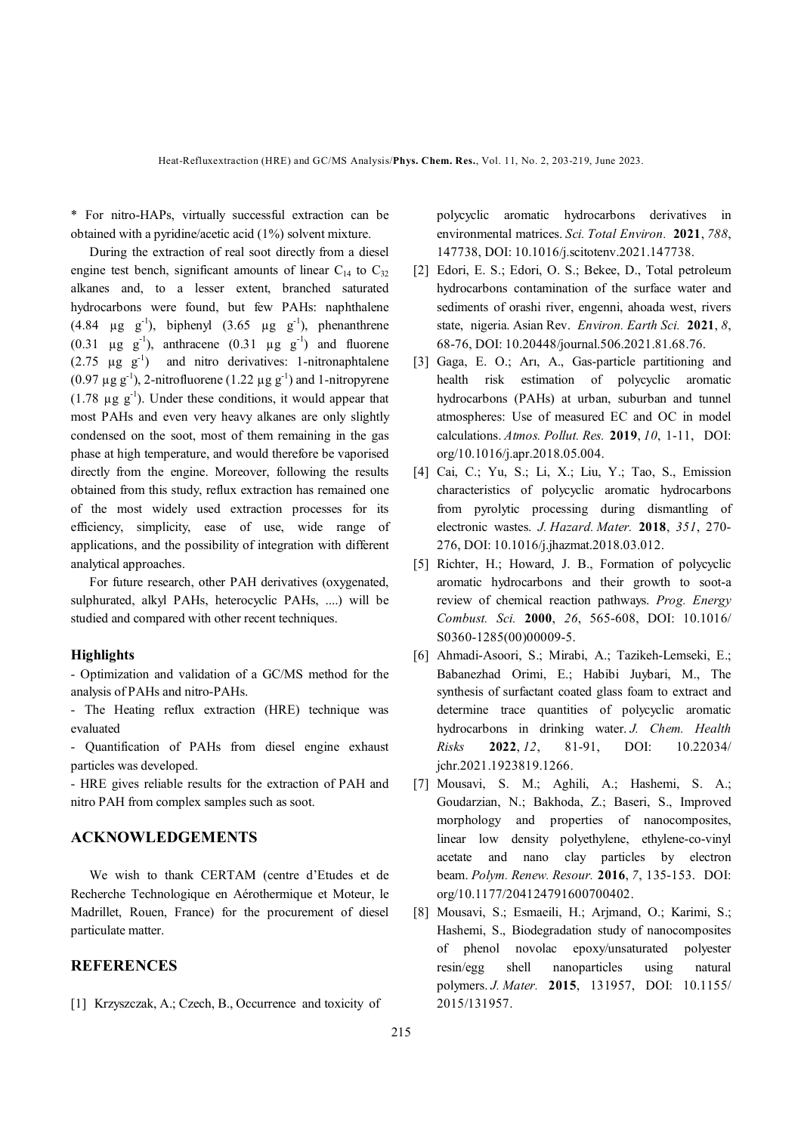\* For nitro-HAPs, virtually successful extraction can be obtained with a pyridine/acetic acid (1%) solvent mixture.

 During the extraction of real soot directly from a diesel engine test bench, significant amounts of linear  $C_{14}$  to  $C_{32}$ alkanes and, to a lesser extent, branched saturated hydrocarbons were found, but few PAHs: naphthalene  $(4.84 \text{ µg g}^{-1})$ , biphenyl  $(3.65 \text{ µg g}^{-1})$ , phenanthrene (0.31  $\mu$ g g<sup>-1</sup>), anthracene (0.31  $\mu$ g g<sup>-1</sup>) and fluorene  $(2.75 \text{ µg g}^{-1})$  and nitro derivatives: 1-nitronaphtalene (0.97  $\mu$ g g<sup>-1</sup>), 2-nitrofluorene (1.22  $\mu$ g g<sup>-1</sup>) and 1-nitropyrene (1.78  $\mu$ g g<sup>-1</sup>). Under these conditions, it would appear that most PAHs and even very heavy alkanes are only slightly condensed on the soot, most of them remaining in the gas phase at high temperature, and would therefore be vaporised directly from the engine. Moreover, following the results obtained from this study, reflux extraction has remained one of the most widely used extraction processes for its efficiency, simplicity, ease of use, wide range of applications, and the possibility of integration with different analytical approaches.

 For future research, other PAH derivatives (oxygenated, sulphurated, alkyl PAHs, heterocyclic PAHs, ....) will be studied and compared with other recent techniques.

## **Highlights**

- Optimization and validation of a GC/MS method for the analysis of PAHs and nitro-PAHs.

- The Heating reflux extraction (HRE) technique was evaluated

- Quantification of PAHs from diesel engine exhaust particles was developed.

- HRE gives reliable results for the extraction of PAH and nitro PAH from complex samples such as soot.

# **ACKNOWLEDGEMENTS**

 We wish to thank CERTAM (centre d'Etudes et de Recherche Technologique en Aérothermique et Moteur, le Madrillet, Rouen, France) for the procurement of diesel particulate matter.

# **REFERENCES**

[1] Krzyszczak, A.; Czech, B., Occurrence and toxicity of

polycyclic aromatic hydrocarbons derivatives in environmental matrices. *Sci. Total Environ.* **2021**, *788*, 147738, DOI: 10.1016/j.scitotenv.2021.147738.

- [2] Edori, E. S.; Edori, O. S.; Bekee, D., Total petroleum hydrocarbons contamination of the surface water and sediments of orashi river, engenni, ahoada west, rivers state, nigeria. Asian Rev. *Environ. Earth Sci.* **2021**, *8*, 68-76, DOI: 10.20448/journal.506.2021.81.68.76.
- [3] Gaga, E. O.; Arı, A., Gas-particle partitioning and health risk estimation of polycyclic aromatic hydrocarbons (PAHs) at urban, suburban and tunnel atmospheres: Use of measured EC and OC in model calculations. *Atmos. Pollut. Res.* **2019**, *10*, 1-11, DOI: org/10.1016/j.apr.2018.05.004.
- [4] Cai, C.; Yu, S.; Li, X.; Liu, Y.; Tao, S., Emission characteristics of polycyclic aromatic hydrocarbons from pyrolytic processing during dismantling of electronic wastes. *J. Hazard. Mater.* **2018**, *351*, 270- 276, DOI: 10.1016/j.jhazmat.2018.03.012.
- [5] Richter, H.; Howard, J. B., Formation of polycyclic aromatic hydrocarbons and their growth to soot-a review of chemical reaction pathways. *Prog. Energy Combust. Sci.* **2000**, *26*, 565-608, DOI: 10.1016/ S0360-1285(00)00009-5.
- [6] Ahmadi-Asoori, S.; Mirabi, A.; Tazikeh-Lemseki, E.; Babanezhad Orimi, E.; Habibi Juybari, M., The synthesis of surfactant coated glass foam to extract and determine trace quantities of polycyclic aromatic hydrocarbons in drinking water. *J. Chem. Health Risks* **2022**, *12*, 81-91, DOI: 10.22034/ jchr.2021.1923819.1266.
- [7] Mousavi, S. M.; Aghili, A.; Hashemi, S. A.; Goudarzian, N.; Bakhoda, Z.; Baseri, S., Improved morphology and properties of nanocomposites, linear low density polyethylene, ethylene-co-vinyl acetate and nano clay particles by electron beam. *Polym. Renew. Resour.* **2016**, *7*, 135-153. DOI: org/10.1177/204124791600700402.
- [8] Mousavi, S.; Esmaeili, H.; Arjmand, O.; Karimi, S.; Hashemi, S., Biodegradation study of nanocomposites of phenol novolac epoxy/unsaturated polyester resin/egg shell nanoparticles using natural polymers. *J. Mater.* **2015**, 131957, DOI: 10.1155/ 2015/131957.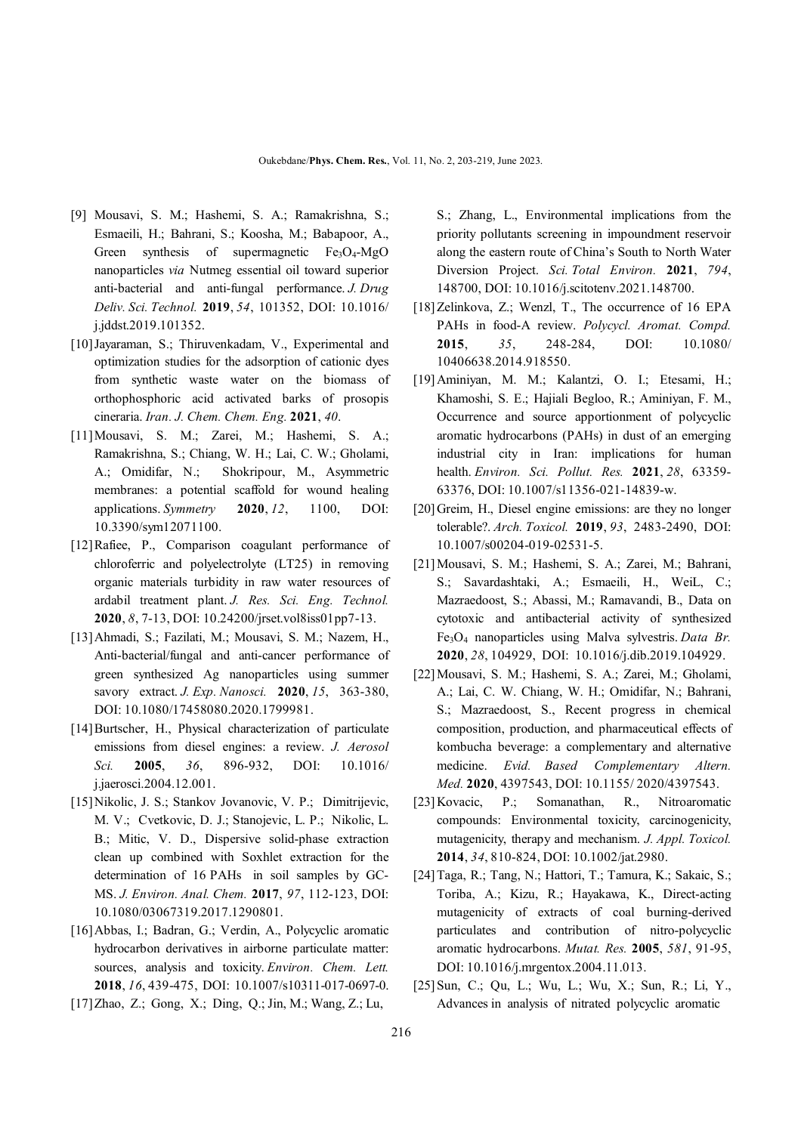- [9] Mousavi, S. M.; Hashemi, S. A.; Ramakrishna, S.; Esmaeili, H.; Bahrani, S.; Koosha, M.; Babapoor, A., Green synthesis of supermagnetic  $Fe<sub>3</sub>O<sub>4</sub>$ -MgO nanoparticles *via* Nutmeg essential oil toward superior anti-bacterial and anti-fungal performance. *J. Drug Deliv. Sci. Technol.* **2019**, *54*, 101352, DOI: 10.1016/ j.jddst.2019.101352.
- [10]Jayaraman, S.; Thiruvenkadam, V., Experimental and optimization studies for the adsorption of cationic dyes from synthetic waste water on the biomass of orthophosphoric acid activated barks of prosopis cineraria. *Iran. J. Chem. Chem. Eng.* **2021**, *40*.
- [11]Mousavi, S. M.; Zarei, M.; Hashemi, S. A.; Ramakrishna, S.; Chiang, W. H.; Lai, C. W.; Gholami, A.; Omidifar, N.; Shokripour, M., Asymmetric membranes: a potential scaffold for wound healing applications. *Symmetry* **2020**, *12*, 1100, DOI: 10.3390/sym12071100.
- [12]Rafiee, P., Comparison coagulant performance of chloroferric and polyelectrolyte (LT25) in removing organic materials turbidity in raw water resources of ardabil treatment plant. *J. Res. Sci. Eng. Technol.*  **2020**, *8*, 7-13, DOI: 10.24200/jrset.vol8iss01pp7-13.
- [13]Ahmadi, S.; Fazilati, M.; Mousavi, S. M.; Nazem, H., Anti-bacterial/fungal and anti-cancer performance of green synthesized Ag nanoparticles using summer savory extract. *J. Exp. Nanosci.* **2020**, *15*, 363-380, DOI: 10.1080/17458080.2020.1799981.
- [14]Burtscher, H., Physical characterization of particulate emissions from diesel engines: a review. *J. Aerosol Sci.* **2005**, *36*, 896-932, DOI: 10.1016/ j.jaerosci.2004.12.001.
- [15]Nikolic, J. S.; Stankov Jovanovic, V. P.; Dimitrijevic, M. V.; Cvetkovic, D. J.; Stanojevic, L. P.; Nikolic, L. B.; Mitic, V. D., Dispersive solid-phase extraction clean up combined with Soxhlet extraction for the determination of 16 PAHs in soil samples by GC-MS. *J. Environ. Anal. Chem.* **2017**, *97*, 112-123, DOI: 10.1080/03067319.2017.1290801.
- [16]Abbas, I.; Badran, G.; Verdin, A., Polycyclic aromatic hydrocarbon derivatives in airborne particulate matter: sources, analysis and toxicity. *Environ. Chem. Lett.* **2018**, *16*, 439-475, DOI: 10.1007/s10311-017-0697-0.
- [17]Zhao, Z.; Gong, X.; Ding, Q.; Jin, M.; Wang, Z.; Lu,

S.; Zhang, L., Environmental implications from the priority pollutants screening in impoundment reservoir along the eastern route of China's South to North Water Diversion Project. *Sci. Total Environ.* **2021**, *794*, 148700, DOI: 10.1016/j.scitotenv.2021.148700.

- [18]Zelinkova, Z.; Wenzl, T., The occurrence of 16 EPA PAHs in food-A review. *Polycycl. Aromat. Compd.* **2015**, *35*, 248-284, DOI: 10.1080/ 10406638.2014.918550.
- [19]Aminiyan, M. M.; Kalantzi, O. I.; Etesami, H.; Khamoshi, S. E.; Hajiali Begloo, R.; Aminiyan, F. M., Occurrence and source apportionment of polycyclic aromatic hydrocarbons (PAHs) in dust of an emerging industrial city in Iran: implications for human health. *Environ. Sci. Pollut. Res.* **2021**, *28*, 63359- 63376, DOI: 10.1007/s11356-021-14839-w.
- [20] Greim, H., Diesel engine emissions: are they no longer tolerable?. *Arch. Toxicol.* **2019**, *93*, 2483-2490, DOI: 10.1007/s00204-019-02531-5.
- [21]Mousavi, S. M.; Hashemi, S. A.; Zarei, M.; Bahrani, S.; Savardashtaki, A.; Esmaeili, H., WeiL, C.; Mazraedoost, S.; Abassi, M.; Ramavandi, B., Data on cytotoxic and antibacterial activity of synthesized Fe3O4 nanoparticles using Malva sylvestris. *Data Br.* **2020**, *28*, 104929, DOI: 10.1016/j.dib.2019.104929.
- [22]Mousavi, S. M.; Hashemi, S. A.; Zarei, M.; Gholami, A.; Lai, C. W. Chiang, W. H.; Omidifar, N.; Bahrani, S.; Mazraedoost, S., Recent progress in chemical composition, production, and pharmaceutical effects of kombucha beverage: a complementary and alternative medicine. *Evid. Based Complementary Altern. Med.* **2020**, 4397543, DOI: 10.1155/ 2020/4397543.
- [23]Kovacic, P.; Somanathan, R., Nitroaromatic compounds: Environmental toxicity, carcinogenicity, mutagenicity, therapy and mechanism. *J. Appl. Toxicol.* **2014**, *34*, 810-824, DOI: 10.1002/jat.2980.
- [24]Taga, R.; Tang, N.; Hattori, T.; Tamura, K.; Sakaic, S.; Toriba, A.; Kizu, R.; Hayakawa, K., Direct-acting mutagenicity of extracts of coal burning-derived particulates and contribution of nitro-polycyclic aromatic hydrocarbons. *Mutat. Res.* **2005**, *581*, 91-95, DOI: 10.1016/j.mrgentox.2004.11.013.
- [25]Sun, C.; Qu, L.; Wu, L.; Wu, X.; Sun, R.; Li, Y., Advances in analysis of nitrated polycyclic aromatic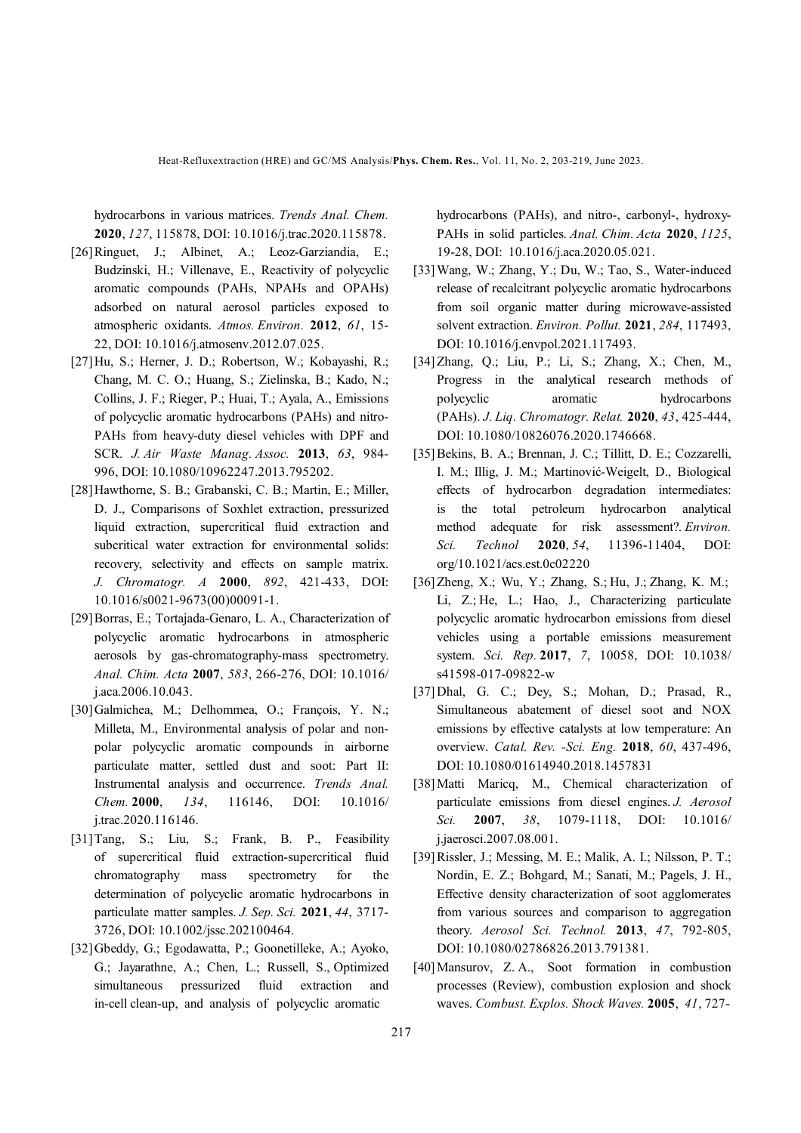Heat-Refluxextraction (HRE) and GC/MS Analysis/**Phys. Chem. Res.**, Vol. 11, No. 2, 203-219, June 2023.

hydrocarbons in various matrices. *Trends Anal. Chem.* **2020**, *127*, 115878, DOI: 10.1016/j.trac.2020.115878.

- [26]Ringuet, J.; Albinet, A.; Leoz-Garziandia, E.; Budzinski, H.; Villenave, E., Reactivity of polycyclic aromatic compounds (PAHs, NPAHs and OPAHs) adsorbed on natural aerosol particles exposed to atmospheric oxidants. *Atmos. Environ.* **2012**, *61*, 15- 22, DOI: 10.1016/j.atmosenv.2012.07.025.
- [27]Hu, S.; Herner, J. D.; Robertson, W.; Kobayashi, R.; Chang, M. C. O.; Huang, S.; Zielinska, B.; Kado, N.; Collins, J. F.; Rieger, P.; Huai, T.; Ayala, A., Emissions of polycyclic aromatic hydrocarbons (PAHs) and nitro-PAHs from heavy-duty diesel vehicles with DPF and SCR. *J. Air Waste Manag. Assoc.* **2013**, *63*, 984- 996, DOI: 10.1080/10962247.2013.795202.
- [28]Hawthorne, S. B.; Grabanski, C. B.; Martin, E.; Miller, D. J., Comparisons of Soxhlet extraction, pressurized liquid extraction, supercritical fluid extraction and subcritical water extraction for environmental solids: recovery, selectivity and effects on sample matrix. *J. Chromatogr. A* **2000**, *892*, 421-433, DOI: 10.1016/s0021-9673(00)00091-1.
- [29]Borras, E.; Tortajada-Genaro, L. A., Characterization of polycyclic aromatic hydrocarbons in atmospheric aerosols by gas-chromatography-mass spectrometry. *Anal. Chim. Acta* **2007**, *583*, 266-276, DOI: 10.1016/ j.aca.2006.10.043.
- [30]Galmichea, M.; Delhommea, O.; François, Y. N.; Milleta, M., Environmental analysis of polar and nonpolar polycyclic aromatic compounds in airborne particulate matter, settled dust and soot: Part II: Instrumental analysis and occurrence. *Trends Anal. Chem.* **2000**, *134*, 116146, DOI: 10.1016/ j.trac.2020.116146.
- [31]Tang, S.; Liu, S.; Frank, B. P., Feasibility of supercritical fluid extraction-supercritical fluid chromatography mass spectrometry for the determination of polycyclic aromatic hydrocarbons in particulate matter samples. *J. Sep. Sci.* **2021**, *44*, 3717- 3726, DOI: 10.1002/jssc.202100464.
- [32]Gbeddy, G.; Egodawatta, P.; Goonetilleke, A.; Ayoko, G.; Jayarathne, A.; Chen, L.; Russell, S., Optimized simultaneous pressurized fluid extraction and in-cell clean-up, and analysis of polycyclic aromatic

hydrocarbons (PAHs), and nitro-, carbonyl-, hydroxy-PAHs in solid particles. *Anal. Chim. Acta* **2020**, *1125*, 19-28, DOI: 10.1016/j.aca.2020.05.021.

- [33]Wang, W.; Zhang, Y.; Du, W.; Tao, S., Water-induced release of recalcitrant polycyclic aromatic hydrocarbons from soil organic matter during microwave-assisted solvent extraction. *Environ. Pollut.* **2021**, *284*, 117493, DOI: 10.1016/j.envpol.2021.117493.
- [34]Zhang, Q.; Liu, P.; Li, S.; Zhang, X.; Chen, M., Progress in the analytical research methods of polycyclic aromatic hydrocarbons (PAHs). *J. Liq. Chromatogr. Relat.* **2020**, *43*, 425-444, DOI: 10.1080/10826076.2020.1746668.
- [35]Bekins, B. A.; Brennan, J. C.; Tillitt, D. E.; Cozzarelli, I. M.; Illig, J. M.; Martinović-Weigelt, D., Biological effects of hydrocarbon degradation intermediates: is the total petroleum hydrocarbon analytical method adequate for risk assessment?. *Environ. Sci. Technol* **2020**, *54*, 11396-11404, DOI: org/10.1021/acs.est.0c02220
- [36]Zheng, X.; Wu, Y.; Zhang, S.; Hu, J.; Zhang, K. M.; Li, Z.; He, L.; Hao, J., Characterizing particulate polycyclic aromatic hydrocarbon emissions from diesel vehicles using a portable emissions measurement system. *Sci. Rep.* **2017**, *7*, 10058, DOI: 10.1038/ s41598-017-09822-w
- [37]Dhal, G. C.; Dey, S.; Mohan, D.; Prasad, R., Simultaneous abatement of diesel soot and NOX emissions by effective catalysts at low temperature: An overview. *Catal. Rev. -Sci. Eng.* **2018**, *60*, 437-496, DOI: 10.1080/01614940.2018.1457831
- [38]Matti Maricq, M., Chemical characterization of particulate emissions from diesel engines. *J. Aerosol Sci.* **2007**, *38*, 1079-1118, DOI: 10.1016/ j.jaerosci.2007.08.001.
- [39]Rissler, J.; Messing, M. E.; Malik, A. I.; Nilsson, P. T.; Nordin, E. Z.; Bohgard, M.; Sanati, M.; Pagels, J. H., Effective density characterization of soot agglomerates from various sources and comparison to aggregation theory. *Aerosol Sci. Technol.* **2013**, *47*, 792-805, DOI: 10.1080/02786826.2013.791381.
- [40]Mansurov, Z. A., Soot formation in combustion processes (Review), combustion explosion and shock waves. *Combust. Explos. Shock Waves.* **2005**, *41*, 727-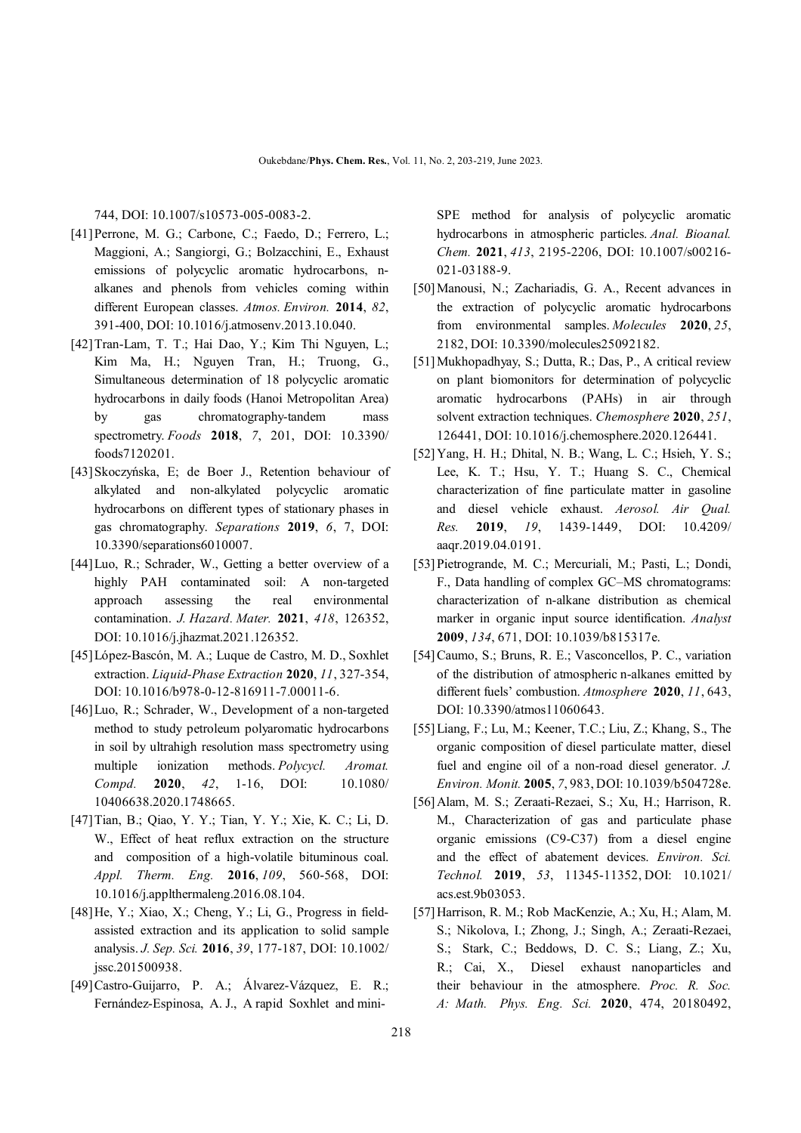744, DOI: 10.1007/s10573-005-0083-2.

- [41]Perrone, M. G.; Carbone, C.; Faedo, D.; Ferrero, L.; Maggioni, A.; Sangiorgi, G.; Bolzacchini, E., Exhaust emissions of polycyclic aromatic hydrocarbons, nalkanes and phenols from vehicles coming within different European classes. *Atmos. Environ.* **2014**, *82*, 391-400, DOI: 10.1016/j.atmosenv.2013.10.040.
- [42]Tran-Lam, T. T.; Hai Dao, Y.; Kim Thi Nguyen, L.; Kim Ma, H.; Nguyen Tran, H.; Truong, G., Simultaneous determination of 18 polycyclic aromatic hydrocarbons in daily foods (Hanoi Metropolitan Area) by gas chromatography-tandem mass spectrometry. *Foods* **2018**, *7*, 201, DOI: 10.3390/ foods7120201.
- [43]Skoczyńska, E; de Boer J., Retention behaviour of alkylated and non-alkylated polycyclic aromatic hydrocarbons on different types of stationary phases in gas chromatography. *Separations* **2019**, *6*, 7, DOI: 10.3390/separations6010007.
- [44]Luo, R.; Schrader, W., Getting a better overview of a highly PAH contaminated soil: A non-targeted approach assessing the real environmental contamination. *J. Hazard. Mater.* **2021**, *418*, 126352, DOI: 10.1016/j.jhazmat.2021.126352.
- [45]López-Bascón, M. A.; Luque de Castro, M. D., Soxhlet extraction. *Liquid-Phase Extraction* **2020**, *11*, 327-354, DOI: 10.1016/b978-0-12-816911-7.00011-6.
- [46]Luo, R.; Schrader, W., Development of a non-targeted method to study petroleum polyaromatic hydrocarbons in soil by ultrahigh resolution mass spectrometry using multiple ionization methods. *Polycycl. Aromat. Compd.* **2020**, *42*, 1-16, DOI: 10.1080/ 10406638.2020.1748665.
- [47]Tian, B.; Qiao, Y. Y.; Tian, Y. Y.; Xie, K. C.; Li, D. W., Effect of heat reflux extraction on the structure and composition of a high-volatile bituminous coal. *Appl. Therm. Eng.* **2016**, *109*, 560-568, DOI: 10.1016/j.applthermaleng.2016.08.104.
- [48]He, Y.; Xiao, X.; Cheng, Y.; Li, G., Progress in fieldassisted extraction and its application to solid sample analysis. *J. Sep. Sci.* **2016**, *39*, 177-187, DOI: 10.1002/ jssc.201500938.
- [49]Castro-Guijarro, P. A.; Álvarez-Vázquez, E. R.; Fernández-Espinosa, A. J., A rapid Soxhlet and mini-

SPE method for analysis of polycyclic aromatic hydrocarbons in atmospheric particles. *Anal. Bioanal. Chem.* **2021**, *413*, 2195-2206, DOI: 10.1007/s00216- 021-03188-9.

- [50]Manousi, N.; Zachariadis, G. A., Recent advances in the extraction of polycyclic aromatic hydrocarbons from environmental samples. *Molecules* **2020**, *25*, 2182, DOI: 10.3390/molecules25092182.
- [51]Mukhopadhyay, S.; Dutta, R.; Das, P., A critical review on plant biomonitors for determination of polycyclic aromatic hydrocarbons (PAHs) in air through solvent extraction techniques. *Chemosphere* **2020**, *251*, 126441, DOI: 10.1016/j.chemosphere.2020.126441.
- [52]Yang, H. H.; Dhital, N. B.; Wang, L. C.; Hsieh, Y. S.; Lee, K. T.; Hsu, Y. T.; Huang S. C., Chemical characterization of fine particulate matter in gasoline and diesel vehicle exhaust. *Aerosol. Air Qual. Res.* **2019**, *19*, 1439-1449, DOI: 10.4209/ aaqr.2019.04.0191.
- [53]Pietrogrande, M. C.; Mercuriali, M.; Pasti, L.; Dondi, F., Data handling of complex GC–MS chromatograms: characterization of n-alkane distribution as chemical marker in organic input source identification. *Analyst*  **2009**, *134*, 671, DOI: 10.1039/b815317e.
- [54]Caumo, S.; Bruns, R. E.; Vasconcellos, P. C., variation of the distribution of atmospheric n-alkanes emitted by different fuels' combustion. *Atmosphere* **2020**, *11*, 643, DOI: 10.3390/atmos11060643.
- [55]Liang, F.; Lu, M.; Keener, T.C.; Liu, Z.; Khang, S., The organic composition of diesel particulate matter, diesel fuel and engine oil of a non-road diesel generator. *J. Environ. Monit.* **2005**, *7*, 983, DOI: 10.1039/b504728e.
- [56]Alam, M. S.; Zeraati-Rezaei, S.; Xu, H.; Harrison, R. M., Characterization of gas and particulate phase organic emissions (C9-C37) from a diesel engine and the effect of abatement devices. *Environ. Sci. Technol.* **2019**, *53*, 11345-11352, DOI: 10.1021/ acs.est.9b03053.
- [57]Harrison, R. M.; Rob MacKenzie, A.; Xu, H.; Alam, M. S.; Nikolova, I.; Zhong, J.; Singh, A.; Zeraati-Rezaei, S.; Stark, C.; Beddows, D. C. S.; Liang, Z.; Xu, R.; Cai, X., Diesel exhaust nanoparticles and their behaviour in the atmosphere. *Proc. R. Soc. A: Math. Phys. Eng. Sci.* **2020**, 474, 20180492,